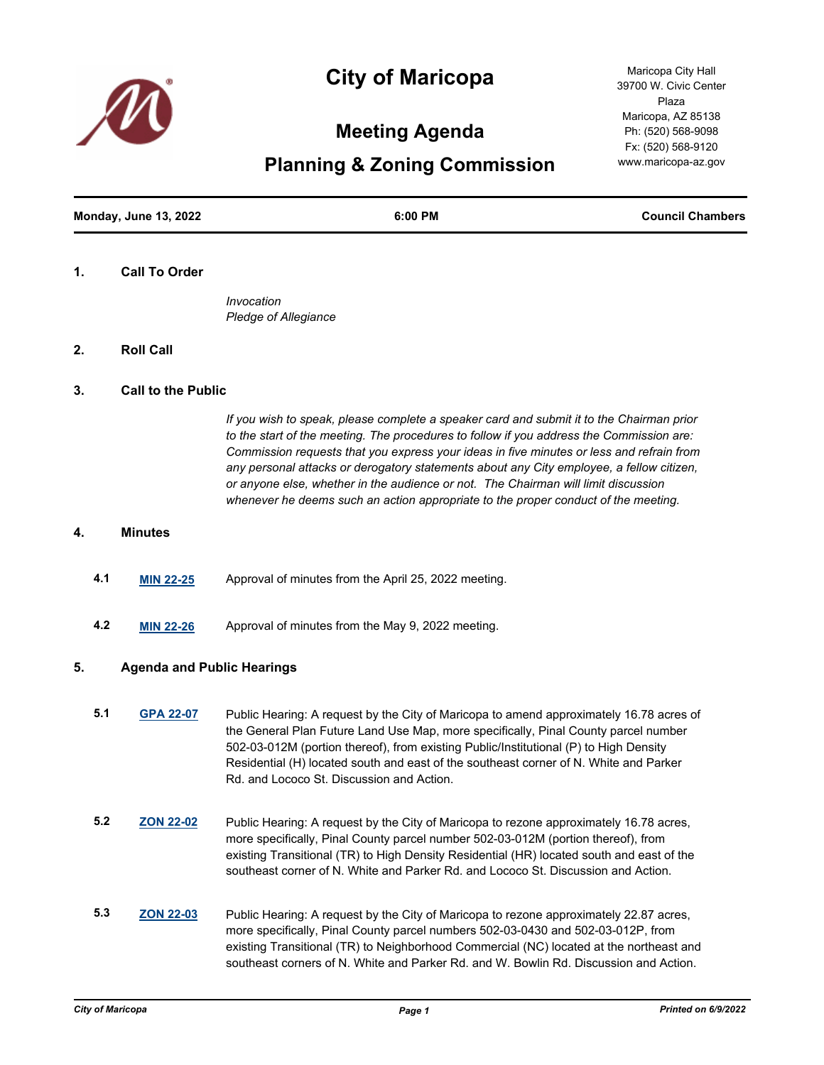

# **City of Maricopa**

# **Meeting Agenda**

**Planning & Zoning Commission**

**Monday, June 13, 2022 6:00 PM Council Chambers**

#### **1. Call To Order**

*Invocation Pledge of Allegiance*

## **2. Roll Call**

#### **3. Call to the Public**

*If you wish to speak, please complete a speaker card and submit it to the Chairman prior to the start of the meeting. The procedures to follow if you address the Commission are: Commission requests that you express your ideas in five minutes or less and refrain from any personal attacks or derogatory statements about any City employee, a fellow citizen, or anyone else, whether in the audience or not. The Chairman will limit discussion whenever he deems such an action appropriate to the proper conduct of the meeting.*

#### **4. Minutes**

- **4.1 [MIN 22-25](http://maricopa.legistar.com/gateway.aspx?m=l&id=/matter.aspx?key=11317)** Approval of minutes from the April 25, 2022 meeting.
- **4.2 [MIN 22-26](http://maricopa.legistar.com/gateway.aspx?m=l&id=/matter.aspx?key=11318)** Approval of minutes from the May 9, 2022 meeting.

#### **5. Agenda and Public Hearings**

- **5.1 [GPA 22-07](http://maricopa.legistar.com/gateway.aspx?m=l&id=/matter.aspx?key=11319)** Public Hearing: A request by the City of Maricopa to amend approximately 16.78 acres of the General Plan Future Land Use Map, more specifically, Pinal County parcel number 502-03-012M (portion thereof), from existing Public/Institutional (P) to High Density Residential (H) located south and east of the southeast corner of N. White and Parker Rd. and Lococo St. Discussion and Action.
- **5.2 [ZON 22-02](http://maricopa.legistar.com/gateway.aspx?m=l&id=/matter.aspx?key=11320)** Public Hearing: A request by the City of Maricopa to rezone approximately 16.78 acres, more specifically, Pinal County parcel number 502-03-012M (portion thereof), from existing Transitional (TR) to High Density Residential (HR) located south and east of the southeast corner of N. White and Parker Rd. and Lococo St. Discussion and Action.
- **5.3 [ZON 22-03](http://maricopa.legistar.com/gateway.aspx?m=l&id=/matter.aspx?key=11321)** Public Hearing: A request by the City of Maricopa to rezone approximately 22.87 acres, more specifically, Pinal County parcel numbers 502-03-0430 and 502-03-012P, from existing Transitional (TR) to Neighborhood Commercial (NC) located at the northeast and southeast corners of N. White and Parker Rd. and W. Bowlin Rd. Discussion and Action.

Maricopa City Hall 39700 W. Civic Center Plaza Maricopa, AZ 85138 Ph: (520) 568-9098 Fx: (520) 568-9120 www.maricopa-az.gov